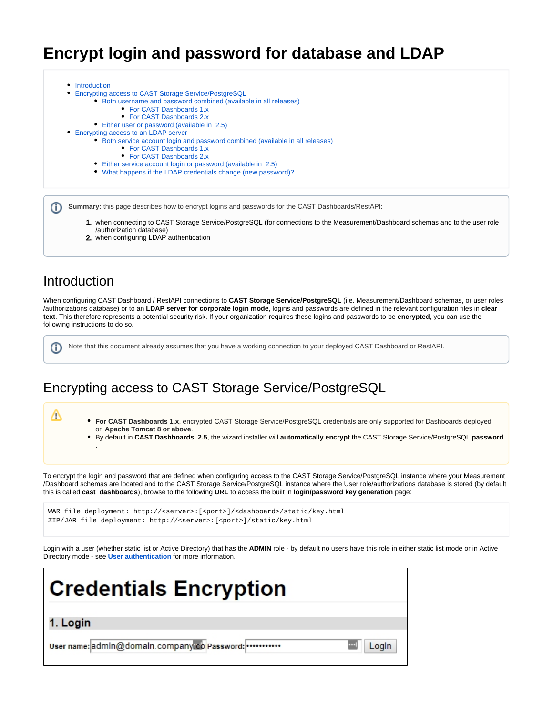# **Encrypt login and password for database and LDAP**

- [Introduction](#page-0-0)
- [Encrypting access to CAST Storage Service/PostgreSQL](#page-0-1)
	- [Both username and password combined \(available in all releases\)](#page-1-0)
		- [For CAST Dashboards 1.x](#page-1-1)
		- [For CAST Dashboards 2.x](#page-2-0)
		- [Either user or password \(available in 2.5\)](#page-3-0)
- [Encrypting access to an LDAP server](#page-5-0)
	- [Both service account login and password combined \(available in all releases\)](#page-6-0)
		- [For CAST Dashboards 1.x](#page-8-0)
		- [For CAST Dashboards 2.x](#page-8-1)
		- [Either service account login or password \(available in 2.5\)](#page-9-0)
	- [What happens if the LDAP credentials change \(new password\)?](#page-10-0)

**Summary:** this page describes how to encrypt logins and passwords for the CAST Dashboards/RestAPI:

- 1. when connecting to CAST Storage Service/PostgreSQL (for connections to the Measurement/Dashboard schemas and to the user role /authorization database)
- 2. when configuring LDAP authentication

## <span id="page-0-0"></span>Introduction

ന

(ï)

Δ

.

When configuring CAST Dashboard / RestAPI connections to **CAST Storage Service/PostgreSQL** (i.e. Measurement/Dashboard schemas, or user roles /authorizations database) or to an **LDAP server for corporate login mode**, logins and passwords are defined in the relevant configuration files in **clear text**. This therefore represents a potential security risk. If your organization requires these logins and passwords to be **encrypted**, you can use the following instructions to do so.

Note that this document already assumes that you have a working connection to your deployed CAST Dashboard or RestAPI.

## <span id="page-0-1"></span>Encrypting access to CAST Storage Service/PostgreSQL

**For CAST Dashboards 1.x**, encrypted CAST Storage Service/PostgreSQL credentials are only supported for Dashboards deployed on **Apache Tomcat 8 or above**.

By default in **CAST Dashboards 2.5**, the wizard installer will **automatically encrypt** the CAST Storage Service/PostgreSQL **password**

To encrypt the login and password that are defined when configuring access to the CAST Storage Service/PostgreSQL instance where your Measurement /Dashboard schemas are located and to the CAST Storage Service/PostgreSQL instance where the User role/authorizations database is stored (by default this is called **cast\_dashboards**), browse to the following **URL** to access the built in **login/password key generation** page:

WAR file deployment: http://<server>:[<port>]/<dashboard>/static/key.html ZIP/JAR file deployment: http://<server>:[<port>]/static/key.html

Login with a user (whether static list or Active Directory) that has the **ADMIN** role - by default no users have this role in either static list mode or in Active Directory mode - see **[User authentication](https://doc.castsoftware.com/display/DASHBOARDS/User+authentication)** for more information.

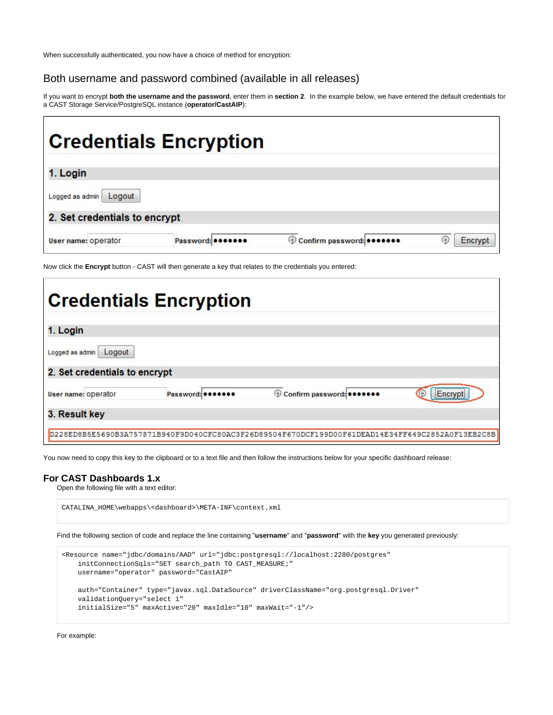When successfully authenticated, you now have a choice of method for encryption:

### <span id="page-1-0"></span>Both username and password combined (available in all releases)

If you want to encrypt **both the username and the password**, enter them in **section 2**. In the example below, we have entered the default credentials for a CAST Storage Service/PostgreSQL instance (**operator/CastAIP**):

|                               | <b>Credentials Encryption</b> |                           |         |
|-------------------------------|-------------------------------|---------------------------|---------|
| 1. Login                      |                               |                           |         |
| Logged as admin<br>Logout     |                               |                           |         |
| 2. Set credentials to encrypt |                               |                           |         |
| User name: operator           | Password:                     | Confirm password: 0000000 | Encrypt |

Now click the **Encrypt** button - CAST will then generate a key that relates to the credentials you entered:

|                               | <b>Credentials Encryption</b> |                                                                                                  |         |
|-------------------------------|-------------------------------|--------------------------------------------------------------------------------------------------|---------|
| 1. Login                      |                               |                                                                                                  |         |
| Logged as admin<br>Logout     |                               |                                                                                                  |         |
| 2. Set credentials to encrypt |                               |                                                                                                  |         |
| User name: operator           | Password: 0000000             | © Confirm password:                                                                              | Encrypt |
| 3. Result key                 |                               |                                                                                                  |         |
|                               |                               | D228ED8B5E5690B3A757871B940F9D040CFC80AC3F26D89504F670DCF199D00F61DEAD14E34FF649C2852A0F13EB2C8B |         |

You now need to copy this key to the clipboard or to a text file and then follow the instructions below for your specific dashboard release:

#### <span id="page-1-1"></span>**For CAST Dashboards 1.x**

Open the following file with a text editor:

CATALINA\_HOME\webapps\<dashboard>\META-INF\context.xml

Find the following section of code and replace the line containing "**username**" and "**password**" with the **key** you generated previously:

```
<Resource name="jdbc/domains/AAD" url="jdbc:postgresql://localhost:2280/postgres"
    initConnectionSqls="SET search_path TO CAST_MEASURE;"
    username="operator" password="CastAIP"
    auth="Container" type="javax.sql.DataSource" driverClassName="org.postgresql.Driver"
    validationQuery="select 1"
     initialSize="5" maxActive="20" maxIdle="10" maxWait="-1"/>
```
For example: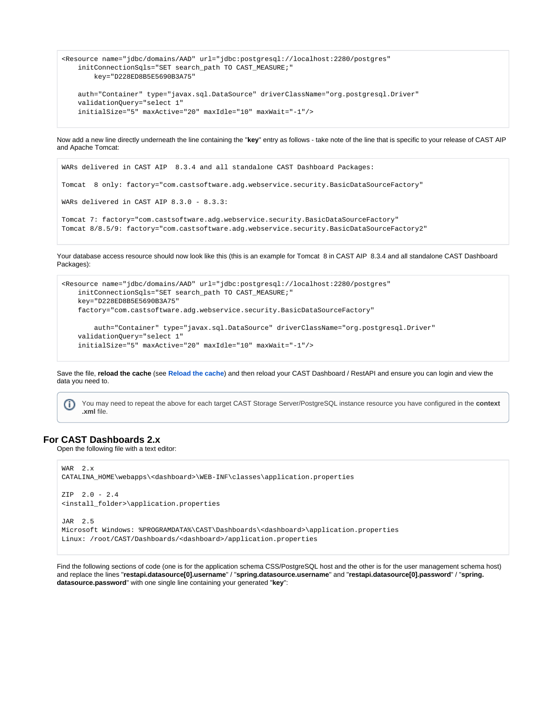```
<Resource name="jdbc/domains/AAD" url="jdbc:postgresql://localhost:2280/postgres"
    initConnectionSqls="SET search_path TO CAST_MEASURE;"
        key="D228ED8B5E5690B3A75"
    auth="Container" type="javax.sql.DataSource" driverClassName="org.postgresql.Driver"
    validationQuery="select 1"
    initialSize="5" maxActive="20" maxIdle="10" maxWait="-1"/>
```
Now add a new line directly underneath the line containing the "**key**" entry as follows - take note of the line that is specific to your release of CAST AIP and Apache Tomcat:

```
WARs delivered in CAST AIP 8.3.4 and all standalone CAST Dashboard Packages:
Tomcat 8 only: factory="com.castsoftware.adg.webservice.security.BasicDataSourceFactory"
WARs delivered in CAST AIP 8.3.0 - 8.3.3:
Tomcat 7: factory="com.castsoftware.adg.webservice.security.BasicDataSourceFactory"
Tomcat 8/8.5/9: factory="com.castsoftware.adg.webservice.security.BasicDataSourceFactory2"
```
Your database access resource should now look like this (this is an example for Tomcat 8 in CAST AIP 8.3.4 and all standalone CAST Dashboard Packages):

```
<Resource name="jdbc/domains/AAD" url="jdbc:postgresql://localhost:2280/postgres"
    initConnectionSqls="SET search_path TO CAST_MEASURE;"
    key="D228ED8B5E5690B3A75"
    factory="com.castsoftware.adg.webservice.security.BasicDataSourceFactory"
         auth="Container" type="javax.sql.DataSource" driverClassName="org.postgresql.Driver"
    validationQuery="select 1"
    initialSize="5" maxActive="20" maxIdle="10" maxWait="-1"/>
```
Save the file, **reload the cache** (see **[Reload the cache](https://doc.castsoftware.com/display/DASHBOARDS/Reload+the+cache)**) and then reload your CAST Dashboard / RestAPI and ensure you can login and view the data you need to.

You may need to repeat the above for each target CAST Storage Server/PostgreSQL instance resource you have configured in the **context .xml** file.

#### <span id="page-2-0"></span>**For CAST Dashboards 2.x**

Open the following file with a text editor:

```
WAR 2.x
CATALINA_HOME\webapps\<dashboard>\WEB-INF\classes\application.properties
ZIP 2.0 - 2.4
<install_folder>\application.properties
JAR 2.5
Microsoft Windows: %PROGRAMDATA%\CAST\Dashboards\<dashboard>\application.properties
Linux: /root/CAST/Dashboards/<dashboard>/application.properties
```
Find the following sections of code (one is for the application schema CSS/PostgreSQL host and the other is for the user management schema host) and replace the lines "**restapi.datasource[0].username**" / "**spring.datasource.username**" and "**restapi.datasource[0].password**" / "**spring. datasource.password**" with one single line containing your generated "**key**":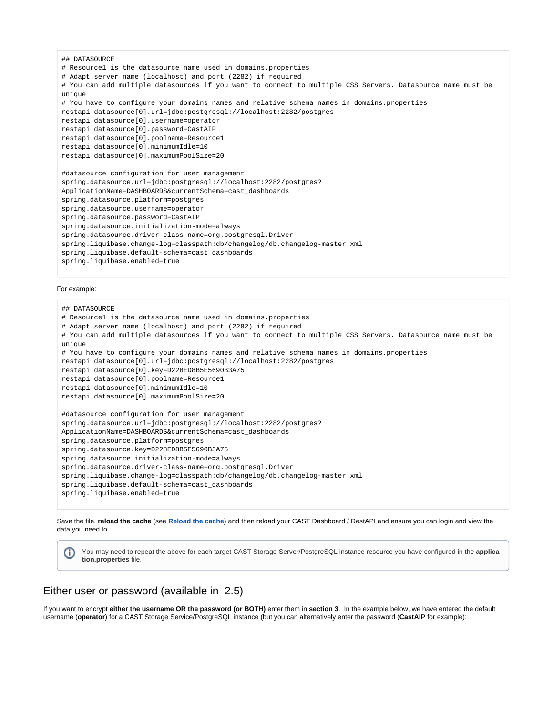```
## DATASOURCE
# Resource1 is the datasource name used in domains.properties
# Adapt server name (localhost) and port (2282) if required
# You can add multiple datasources if you want to connect to multiple CSS Servers. Datasource name must be 
unique
# You have to configure your domains names and relative schema names in domains.properties
restapi.datasource[0].url=jdbc:postgresql://localhost:2282/postgres
restapi.datasource[0].username=operator
restapi.datasource[0].password=CastAIP
restapi.datasource[0].poolname=Resource1
restapi.datasource[0].minimumIdle=10
restapi.datasource[0].maximumPoolSize=20
#datasource configuration for user management
spring.datasource.url=jdbc:postgresql://localhost:2282/postgres?
ApplicationName=DASHBOARDS&currentSchema=cast_dashboards
spring.datasource.platform=postgres
spring.datasource.username=operator
spring.datasource.password=CastAIP
spring.datasource.initialization-mode=always
spring.datasource.driver-class-name=org.postgresql.Driver
spring.liquibase.change-log=classpath:db/changelog/db.changelog-master.xml
spring.liquibase.default-schema=cast_dashboards
spring.liquibase.enabled=true
```
#### For example:

```
## DATASOURCE
# Resource1 is the datasource name used in domains.properties
# Adapt server name (localhost) and port (2282) if required
# You can add multiple datasources if you want to connect to multiple CSS Servers. Datasource name must be 
unique
# You have to configure your domains names and relative schema names in domains.properties
restapi.datasource[0].url=jdbc:postgresql://localhost:2282/postgres
restapi.datasource[0].key=D228ED8B5E5690B3A75
restapi.datasource[0].poolname=Resource1
restapi.datasource[0].minimumIdle=10
restapi.datasource[0].maximumPoolSize=20
#datasource configuration for user management
spring.datasource.url=jdbc:postgresql://localhost:2282/postgres?
ApplicationName=DASHBOARDS&currentSchema=cast_dashboards
spring.datasource.platform=postgres
spring.datasource.key=D228ED8B5E5690B3A75
spring.datasource.initialization-mode=always
spring.datasource.driver-class-name=org.postgresql.Driver
spring.liquibase.change-log=classpath:db/changelog/db.changelog-master.xml
spring.liquibase.default-schema=cast_dashboards
spring.liquibase.enabled=true
```
Save the file, **reload the cache** (see **[Reload the cache](https://doc.castsoftware.com/display/DASHBOARDS/Reload+the+cache)**) and then reload your CAST Dashboard / RestAPI and ensure you can login and view the data you need to.

You may need to repeat the above for each target CAST Storage Server/PostgreSQL instance resource you have configured in the **applica** (i) **tion.properties** file.

### <span id="page-3-0"></span>Either user or password (available in 2.5)

If you want to encrypt **either the username OR the password (or BOTH)** enter them in **section 3**. In the example below, we have entered the default username (**operator**) for a CAST Storage Service/PostgreSQL instance (but you can alternatively enter the password (**CastAIP** for example):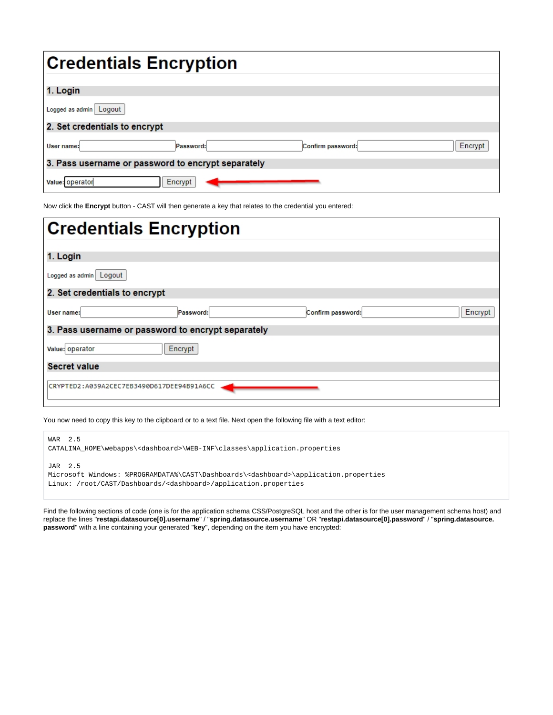| <b>Credentials Encryption</b> |                                                    |                   |         |
|-------------------------------|----------------------------------------------------|-------------------|---------|
| 1. Login                      |                                                    |                   |         |
| Logged as admin Logout        |                                                    |                   |         |
| 2. Set credentials to encrypt |                                                    |                   |         |
| User name:                    | Password:                                          | Confirm password: | Encrypt |
|                               | 3. Pass username or password to encrypt separately |                   |         |
| Value: operator               | Encrypt                                            |                   |         |

Now click the **Encrypt** button - CAST will then generate a key that relates to the credential you entered:

| <b>Credentials Encryption</b>                      |         |
|----------------------------------------------------|---------|
| 1. Login                                           |         |
| Logged as admin Logout                             |         |
| 2. Set credentials to encrypt                      |         |
| User name:<br>Confirm password:<br>Password:       | Encrypt |
| 3. Pass username or password to encrypt separately |         |
| Encrypt<br>Value: operator                         |         |
| <b>Secret value</b>                                |         |
| CRYPTED2:A039A2CEC7EB3490D617DEE94B91A6CC          |         |

You now need to copy this key to the clipboard or to a text file. Next open the following file with a text editor:

WAR 2.5 CATALINA\_HOME\webapps\<dashboard>\WEB-INF\classes\application.properties

JAR 2.5

|  | Microsoft Windows: %PROGRAMDATA%\CAST\Dashboards\ <dashboard>\application.properties</dashboard> |  |  |  |
|--|--------------------------------------------------------------------------------------------------|--|--|--|
|  | Linux: /root/CAST/Dashboards/ <dashboard>/application.properties</dashboard>                     |  |  |  |

Find the following sections of code (one is for the application schema CSS/PostgreSQL host and the other is for the user management schema host) and replace the lines "**restapi.datasource[0].username**" / "**spring.datasource.username**" OR "**restapi.datasource[0].password**" / "**spring.datasource. password**" with a line containing your generated "**key**", depending on the item you have encrypted: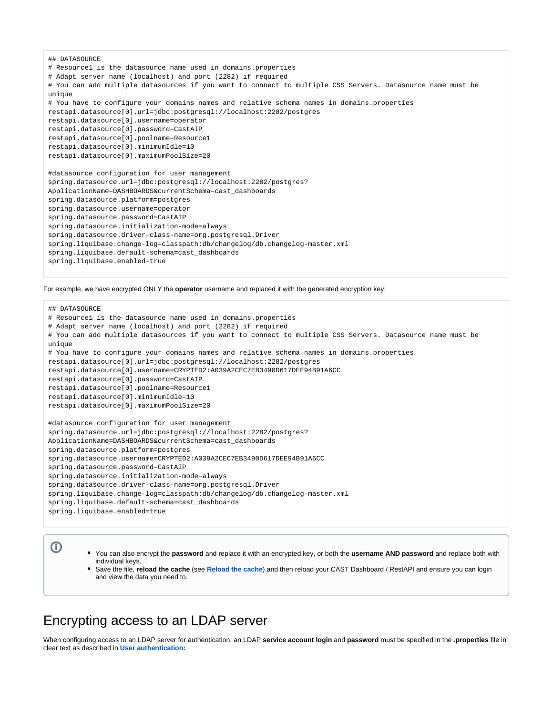```
## DATASOURCE
# Resource1 is the datasource name used in domains.properties
# Adapt server name (localhost) and port (2282) if required
# You can add multiple datasources if you want to connect to multiple CSS Servers. Datasource name must be 
unim# You have to configure your domains names and relative schema names in domains.properties
restapi.datasource[0].url=jdbc:postgresql://localhost:2282/postgres
restapi.datasource[0].username=operator
restapi.datasource[0].password=CastAIP
restapi.datasource[0].poolname=Resource1
restapi.datasource[0].minimumIdle=10
restapi.datasource[0].maximumPoolSize=20
#datasource configuration for user management
spring.datasource.url=jdbc:postgresql://localhost:2282/postgres?
ApplicationName=DASHBOARDS&currentSchema=cast_dashboards
spring.datasource.platform=postgres
spring.datasource.username=operator
spring.datasource.password=CastAIP
spring.datasource.initialization-mode=always
spring.datasource.driver-class-name=org.postgresql.Driver
spring.liquibase.change-log=classpath:db/changelog/db.changelog-master.xml
spring.liquibase.default-schema=cast_dashboards
spring.liquibase.enabled=true
```
For example, we have encrypted ONLY the **operator** username and replaced it with the generated encryption key:

```
## DATASOURCE
# Resource1 is the datasource name used in domains.properties
# Adapt server name (localhost) and port (2282) if required
# You can add multiple datasources if you want to connect to multiple CSS Servers. Datasource name must be 
unique
# You have to configure your domains names and relative schema names in domains.properties
restapi.datasource[0].url=jdbc:postgresql://localhost:2282/postgres
restapi.datasource[0].username=CRYPTED2:A039A2CEC7EB3490D617DEE94B91A6CC
restapi.datasource[0].password=CastAIP
restapi.datasource[0].poolname=Resource1
restapi.datasource[0].minimumIdle=10
restapi.datasource[0].maximumPoolSize=20
#datasource configuration for user management
spring.datasource.url=jdbc:postgresql://localhost:2282/postgres?
ApplicationName=DASHBOARDS&currentSchema=cast_dashboards
spring.datasource.platform=postgres
spring.datasource.username=CRYPTED2:A039A2CEC7EB3490D617DEE94B91A6CC
spring.datasource.password=CastAIP
spring.datasource.initialization-mode=always
spring.datasource.driver-class-name=org.postgresql.Driver
spring.liquibase.change-log=classpath:db/changelog/db.changelog-master.xml
spring.liquibase.default-schema=cast_dashboards
spring.liquibase.enabled=true
```
ത

- You can also encrypt the **password** and replace it with an encrypted key, or both the **username AND password** and replace both with individual keys.
- Save the file, **reload the cache** (see **[Reload the cache](https://doc.castsoftware.com/display/DASHBOARDS/Reload+the+cache)**) and then reload your CAST Dashboard / RestAPI and ensure you can login and view the data you need to.

## <span id="page-5-0"></span>Encrypting access to an LDAP server

When configuring access to an LDAP server for authentication, an LDAP **service account login** and **password** must be specified in the **.properties** file in clear text as described in **[User authentication:](https://doc.castsoftware.com/display/DASHBOARDS/User+authentication)**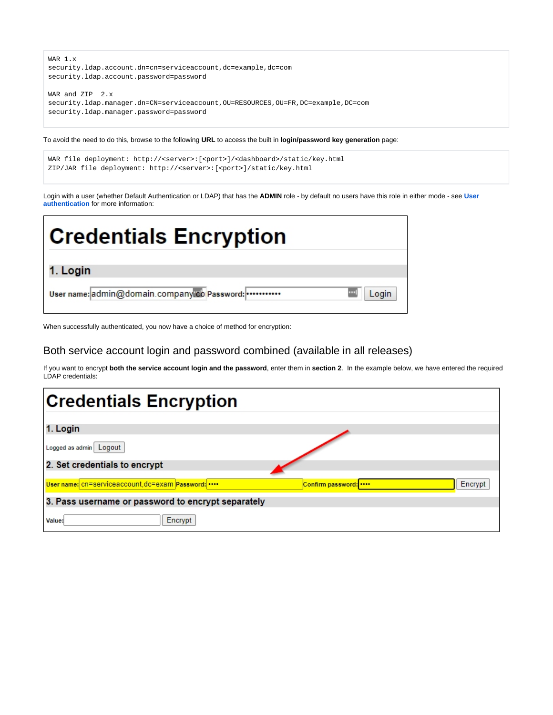

To avoid the need to do this, browse to the following **URL** to access the built in **login/password key generation** page:

```
WAR file deployment: http://<server>:[<port>]/<dashboard>/static/key.html
ZIP/JAR file deployment: http://<server>:[<port>]/static/key.html
```
Login with a user (whether Default Authentication or LDAP) that has the **ADMIN** role - by default no users have this role in either mode - see **[User](https://doc.castsoftware.com/display/DASHBOARDS/User+authentication)  [authentication](https://doc.castsoftware.com/display/DASHBOARDS/User+authentication)** for more information:



When successfully authenticated, you now have a choice of method for encryption:

### <span id="page-6-0"></span>Both service account login and password combined (available in all releases)

If you want to encrypt **both the service account login and the password**, enter them in **section 2**. In the example below, we have entered the required LDAP credentials:

| <b>Credentials Encryption</b>                      |                              |
|----------------------------------------------------|------------------------------|
|                                                    |                              |
| 1. Login                                           |                              |
| Logged as admin Logout                             |                              |
| 2. Set credentials to encrypt                      |                              |
|                                                    |                              |
| User name: cn=serviceaccount, dc=exam Password:    | Encrypt<br>Confirm password: |
| 3. Pass username or password to encrypt separately |                              |
| Encrypt<br>Value:                                  |                              |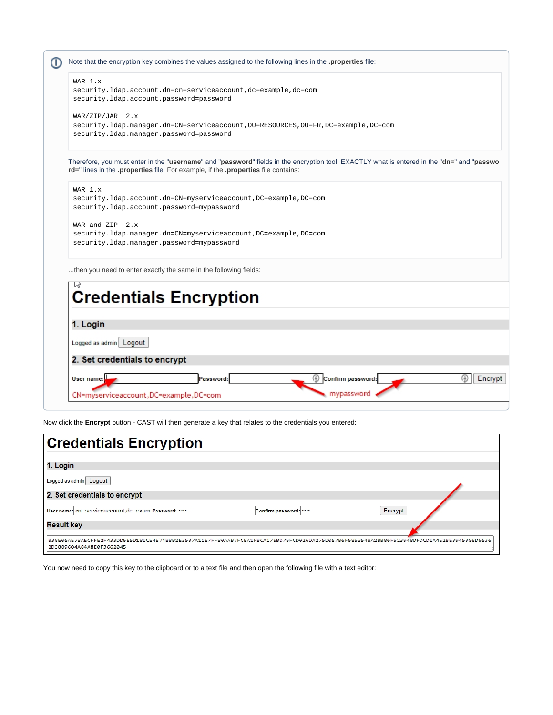

| User name:                            | assword: | Confirm password: |  |  |
|---------------------------------------|----------|-------------------|--|--|
|                                       |          | mypassword        |  |  |
| CN=myserviceaccount,DC=example,DC=com |          |                   |  |  |

Now click the **Encrypt** button - CAST will then generate a key that relates to the credentials you entered:

| <b>Credentials Encryption</b>                                                                                                                                         |
|-----------------------------------------------------------------------------------------------------------------------------------------------------------------------|
| 1. Login                                                                                                                                                              |
| Logged as admin Logout                                                                                                                                                |
| 2. Set credentials to encrypt                                                                                                                                         |
| User name: cn=serviceaccount, dc=exam Password:<br>Encrypt<br>Confirm password:                                                                                       |
| <b>Result key</b>                                                                                                                                                     |
| lB38E06AE78AECFFE2F433DD6E5D181CE4E74B8B2E3537A11E7FF80AAB7FCEA1FBCA17EBD79FCD026DA275D057B6F6853548A2BB86F523948DFDCD1A4E2BE394530ED6636<br>2D3889604A84A8E0F3662045 |

You now need to copy this key to the clipboard or to a text file and then open the following file with a text editor: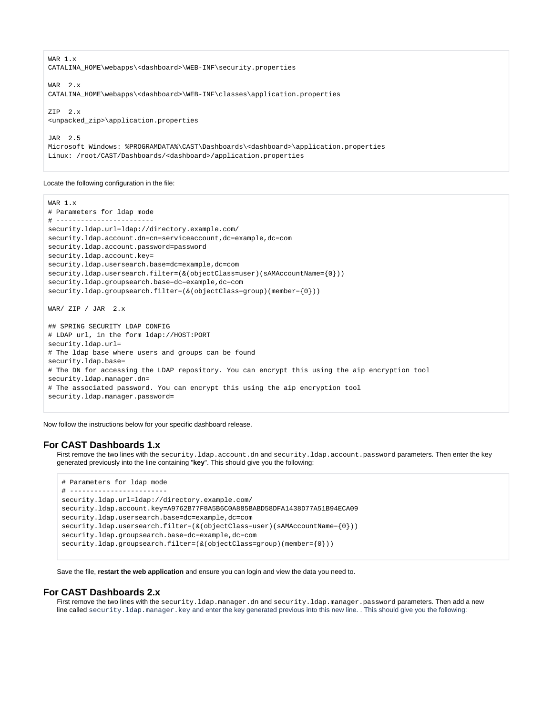WAR 1.x CATALINA\_HOME\webapps\<dashboard>\WEB-INF\security.properties WAR 2.x CATALINA\_HOME\webapps\<dashboard>\WEB-INF\classes\application.properties ZIP 2.x <unpacked\_zip>\application.properties JAR 2.5 Microsoft Windows: %PROGRAMDATA%\CAST\Dashboards\<dashboard>\application.properties Linux: /root/CAST/Dashboards/<dashboard>/application.properties

Locate the following configuration in the file:

```
WAR 1.x
# Parameters for ldap mode
# ------------------------
security.ldap.url=ldap://directory.example.com/
security.ldap.account.dn=cn=serviceaccount,dc=example,dc=com
security.ldap.account.password=password
security.ldap.account.key=
security.ldap.usersearch.base=dc=example,dc=com
security.ldap.usersearch.filter=(&(objectClass=user)(sAMAccountName={0}))
security.ldap.groupsearch.base=dc=example,dc=com
security.ldap.groupsearch.filter=(&(objectClass=group)(member={0}))
WAR/ ZIP / JAR 2.x
## SPRING SECURITY LDAP CONFIG
# LDAP url, in the form ldap://HOST:PORT
security.ldap.url=
# The ldap base where users and groups can be found
security.ldap.base=
# The DN for accessing the LDAP repository. You can encrypt this using the aip encryption tool
security.ldap.manager.dn=
# The associated password. You can encrypt this using the aip encryption tool
security.ldap.manager.password=
```
Now follow the instructions below for your specific dashboard release.

#### <span id="page-8-0"></span>**For CAST Dashboards 1.x**

First remove the two lines with the security.ldap.account.dn and security.ldap.account.password parameters. Then enter the key generated previously into the line containing "**key**". This should give you the following:

```
# Parameters for ldap mode
# ------------------------
security.ldap.url=ldap://directory.example.com/
security.ldap.account.key=A9762B77F8A5B6C0A885BABD58DFA1438D77A51B94ECA09
security.ldap.usersearch.base=dc=example,dc=com
security.ldap.usersearch.filter=(&(objectClass=user)(sAMAccountName={0}))
security.ldap.groupsearch.base=dc=example,dc=com
securityuap.groupsearch.filter=(\&(objectClass=group)(member={0}))
```
Save the file, **restart the web application** and ensure you can login and view the data you need to.

#### <span id="page-8-1"></span>**For CAST Dashboards 2.x**

First remove the two lines with the security.ldap.manager.dn and security.ldap.manager.password parameters. Then add a new line called security. ldap.manager.key and enter the key generated previous into this new line. . This should give you the following: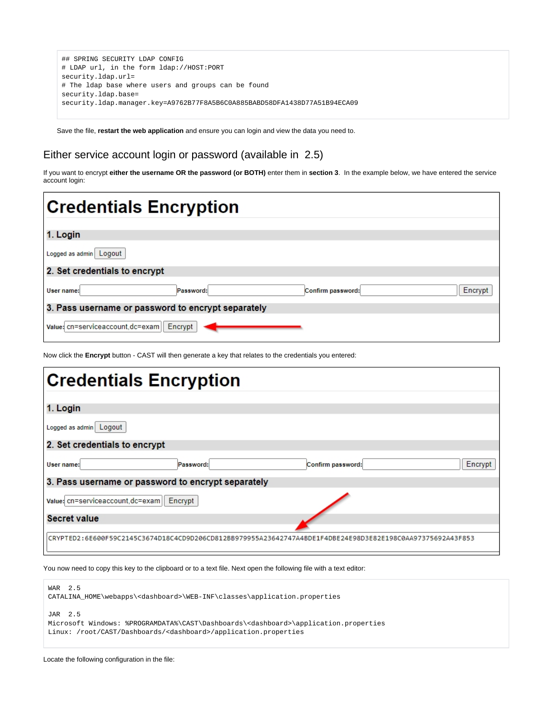```
## SPRING SECURITY LDAP CONFIG
# LDAP url, in the form ldap://HOST:PORT
security.ldap.url=
# The ldap base where users and groups can be found
security.ldap.base=
security.ldap.manager.key=A9762B77F8A5B6C0A885BABD58DFA1438D77A51B94ECA09
```
Save the file, **restart the web application** and ensure you can login and view the data you need to.

## <span id="page-9-0"></span>Either service account login or password (available in 2.5)

If you want to encrypt **either the username OR the password (or BOTH)** enter them in **section 3**. In the example below, we have entered the service account login:

| <b>Credentials Encryption</b>                           |
|---------------------------------------------------------|
| 1. Login                                                |
| Logged as admin Logout                                  |
| 2. Set credentials to encrypt                           |
| Encrypt<br>Confirm password:<br>Password:<br>User name: |
| 3. Pass username or password to encrypt separately      |
| Value: cn=serviceaccount, dc=exam   Encrypt             |

Now click the **Encrypt** button - CAST will then generate a key that relates to the credentials you entered:

| <b>Credentials Encryption</b>     |                                                    |                                                                                                           |         |
|-----------------------------------|----------------------------------------------------|-----------------------------------------------------------------------------------------------------------|---------|
| 1. Login                          |                                                    |                                                                                                           |         |
|                                   |                                                    |                                                                                                           |         |
| Logged as admin Logout            |                                                    |                                                                                                           |         |
| 2. Set credentials to encrypt     |                                                    |                                                                                                           |         |
| User name:                        | Password:                                          | Confirm password:                                                                                         | Encrypt |
|                                   | 3. Pass username or password to encrypt separately |                                                                                                           |         |
| Value: cn=serviceaccount, dc=exam | Encrypt                                            |                                                                                                           |         |
| <b>Secret value</b>               |                                                    |                                                                                                           |         |
|                                   |                                                    |                                                                                                           |         |
|                                   |                                                    | CRYPTED2:6E600F59C2145C3674D18C4CD9D206CD812BB979955A23642747A4BDE1F4DBE24E98D3E82E198C0AA97375692A43F853 |         |

You now need to copy this key to the clipboard or to a text file. Next open the following file with a text editor:

| WAR 2.5<br>CATALINA HOME\webapps\ <dashboard>\WEB-INF\classes\application.properties</dashboard>                                                                                            |
|---------------------------------------------------------------------------------------------------------------------------------------------------------------------------------------------|
| JAR 2.5<br>Microsoft Windows: %PROGRAMDATA%\CAST\Dashboards\ <dashboard>\application.properties<br/>Linux: /root/CAST/Dashboards/<dashboard>/application.properties</dashboard></dashboard> |